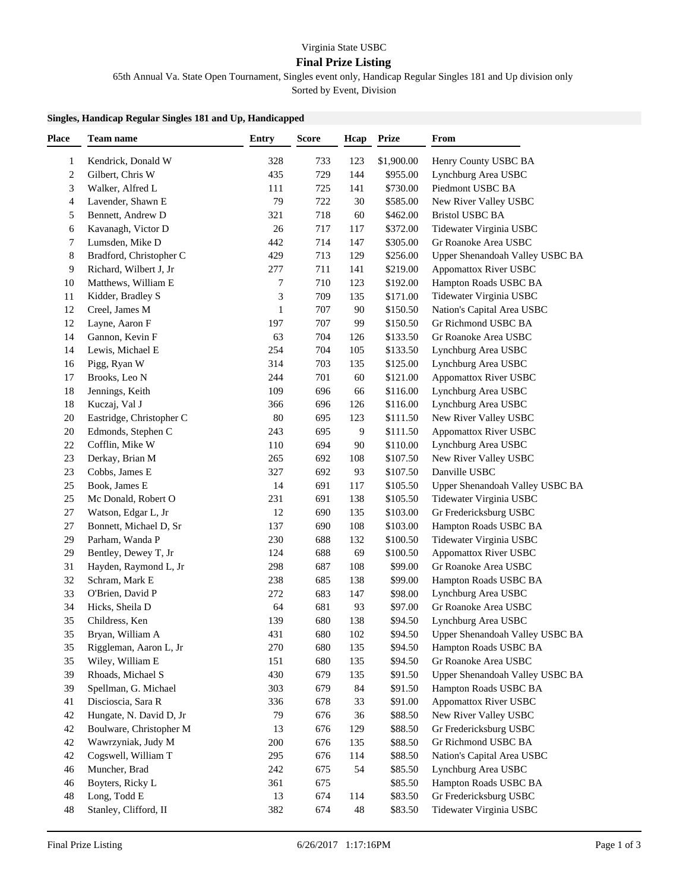## Virginia State USBC

## **Final Prize Listing**

65th Annual Va. State Open Tournament, Singles event only, Handicap Regular Singles 181 and Up division only

Sorted by Event, Division

## **Singles, Handicap Regular Singles 181 and Up, Handicapped**

| <b>Place</b>            | Team name                | <b>Entry</b> | <b>Score</b> | Hcap | Prize                | From                            |
|-------------------------|--------------------------|--------------|--------------|------|----------------------|---------------------------------|
| 1                       | Kendrick, Donald W       | 328          | 733          | 123  | \$1,900.00           | Henry County USBC BA            |
| $\overline{\mathbf{c}}$ | Gilbert, Chris W         | 435          | 729          | 144  | \$955.00             | Lynchburg Area USBC             |
| 3                       | Walker, Alfred L         | 111          | 725          | 141  | \$730.00             | Piedmont USBC BA                |
| 4                       | Lavender, Shawn E        | 79           | 722          | 30   | \$585.00             | New River Valley USBC           |
| 5                       | Bennett, Andrew D        | 321          | 718          | 60   | \$462.00             | <b>Bristol USBC BA</b>          |
| 6                       | Kavanagh, Victor D       | 26           | 717          | 117  | \$372.00             | Tidewater Virginia USBC         |
| 7                       | Lumsden, Mike D          | 442          | 714          | 147  | \$305.00             | Gr Roanoke Area USBC            |
| 8                       | Bradford, Christopher C  | 429          | 713          | 129  | \$256.00             | Upper Shenandoah Valley USBC BA |
| 9                       | Richard, Wilbert J, Jr   | 277          | 711          | 141  | \$219.00             | Appomattox River USBC           |
| 10                      | Matthews, William E      | 7            | 710          | 123  | \$192.00             | Hampton Roads USBC BA           |
| 11                      | Kidder, Bradley S        | 3            | 709          | 135  | \$171.00             | Tidewater Virginia USBC         |
| 12                      | Creel, James M           | 1            | 707          | 90   | \$150.50             | Nation's Capital Area USBC      |
| 12                      | Layne, Aaron F           | 197          | 707          | 99   | \$150.50             | Gr Richmond USBC BA             |
| 14                      | Gannon, Kevin F          | 63           | 704          | 126  | \$133.50             | Gr Roanoke Area USBC            |
| 14                      | Lewis, Michael E         | 254          | 704          | 105  | \$133.50             | Lynchburg Area USBC             |
| 16                      | Pigg, Ryan W             | 314          | 703          | 135  | \$125.00             | Lynchburg Area USBC             |
| 17                      | Brooks, Leo N            | 244          | 701          | 60   | \$121.00             | <b>Appomattox River USBC</b>    |
| 18                      | Jennings, Keith          | 109          | 696          | 66   | \$116.00             | Lynchburg Area USBC             |
| 18                      | Kuczaj, Val J            | 366          | 696          | 126  | \$116.00             | Lynchburg Area USBC             |
| 20                      | Eastridge, Christopher C | 80           | 695          | 123  | \$111.50             | New River Valley USBC           |
| 20                      | Edmonds, Stephen C       | 243          | 695          | 9    | \$111.50             | <b>Appomattox River USBC</b>    |
| 22                      | Cofflin, Mike W          | 110          | 694          | 90   | \$110.00             | Lynchburg Area USBC             |
| 23                      | Derkay, Brian M          | 265          | 692          | 108  | \$107.50             | New River Valley USBC           |
| 23                      | Cobbs, James E           | 327          | 692          | 93   | \$107.50             | Danville USBC                   |
| 25                      | Book, James E            | 14           | 691          | 117  | \$105.50             | Upper Shenandoah Valley USBC BA |
| 25                      | Mc Donald, Robert O      | 231          | 691          | 138  | \$105.50             | Tidewater Virginia USBC         |
| 27                      | Watson, Edgar L, Jr      | 12           | 690          | 135  | \$103.00             | Gr Fredericksburg USBC          |
| 27                      | Bonnett, Michael D, Sr   | 137          | 690          | 108  |                      | Hampton Roads USBC BA           |
| 29                      | Parham, Wanda P          | 230          | 688          | 132  | \$103.00<br>\$100.50 |                                 |
| 29                      | Bentley, Dewey T, Jr     | 124          | 688          | 69   | \$100.50             | Tidewater Virginia USBC         |
|                         |                          |              |              |      |                      | <b>Appomattox River USBC</b>    |
| 31                      | Hayden, Raymond L, Jr    | 298          | 687          | 108  | \$99.00              | Gr Roanoke Area USBC            |
| 32                      | Schram, Mark E           | 238          | 685          | 138  | \$99.00              | Hampton Roads USBC BA           |
| 33                      | O'Brien, David P         | 272          | 683          | 147  | \$98.00<br>\$97.00   | Lynchburg Area USBC             |
| 34                      | Hicks, Sheila D          | 64<br>139    | 681          | 93   |                      | Gr Roanoke Area USBC            |
| 35                      | Childress, Ken           |              | 680          | 138  | \$94.50              | Lynchburg Area USBC             |
| 35                      | Bryan, William A         | 431          | 680          | 102  | \$94.50              | Upper Shenandoah Valley USBC BA |
| 35                      | Riggleman, Aaron L, Jr   | 270          | 680          | 135  | \$94.50              | Hampton Roads USBC BA           |
| 35                      | Wiley, William E         | 151          | 680          | 135  | \$94.50              | Gr Roanoke Area USBC            |
| 39                      | Rhoads, Michael S        | 430          | 679          | 135  | \$91.50              | Upper Shenandoah Valley USBC BA |
| 39                      | Spellman, G. Michael     | 303          | 679          | 84   | \$91.50              | Hampton Roads USBC BA           |
| 41                      | Discioscia, Sara R       | 336          | 678          | 33   | \$91.00              | <b>Appomattox River USBC</b>    |
| 42                      | Hungate, N. David D, Jr  | 79           | 676          | 36   | \$88.50              | New River Valley USBC           |
| 42                      | Boulware, Christopher M  | 13           | 676          | 129  | \$88.50              | Gr Fredericksburg USBC          |
| 42                      | Wawrzyniak, Judy M       | 200          | 676          | 135  | \$88.50              | Gr Richmond USBC BA             |
| 42                      | Cogswell, William T      | 295          | 676          | 114  | \$88.50              | Nation's Capital Area USBC      |
| 46                      | Muncher, Brad            | 242          | 675          | 54   | \$85.50              | Lynchburg Area USBC             |
| 46                      | Boyters, Ricky L         | 361          | 675          |      | \$85.50              | Hampton Roads USBC BA           |
| 48                      | Long, Todd E             | 13           | 674          | 114  | \$83.50              | Gr Fredericksburg USBC          |
| 48                      | Stanley, Clifford, II    | 382          | 674          | 48   | \$83.50              | Tidewater Virginia USBC         |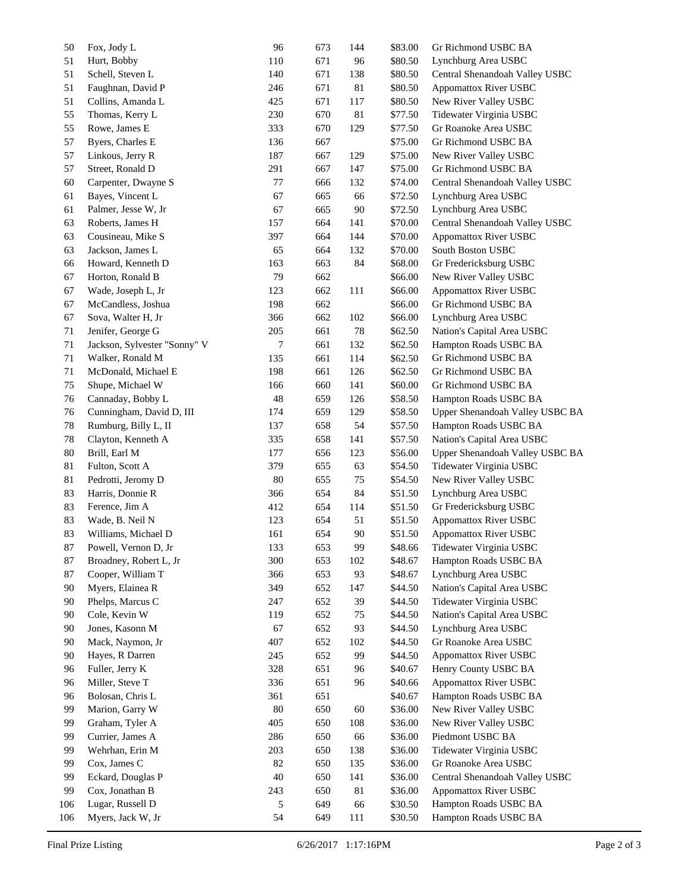| 50  | Fox, Jody L                  | 96  | 673 | 144 | \$83.00 | Gr Richmond USBC BA             |
|-----|------------------------------|-----|-----|-----|---------|---------------------------------|
| 51  | Hurt, Bobby                  | 110 | 671 | 96  | \$80.50 | Lynchburg Area USBC             |
| 51  | Schell, Steven L             | 140 | 671 | 138 | \$80.50 | Central Shenandoah Valley USBC  |
| 51  | Faughnan, David P            | 246 | 671 | 81  | \$80.50 | <b>Appomattox River USBC</b>    |
| 51  | Collins, Amanda L            | 425 | 671 | 117 | \$80.50 | New River Valley USBC           |
| 55  | Thomas, Kerry L              | 230 | 670 | 81  | \$77.50 | Tidewater Virginia USBC         |
| 55  | Rowe, James E                | 333 | 670 | 129 | \$77.50 | Gr Roanoke Area USBC            |
| 57  | Byers, Charles E             | 136 | 667 |     | \$75.00 | Gr Richmond USBC BA             |
| 57  | Linkous, Jerry R             | 187 | 667 | 129 | \$75.00 | New River Valley USBC           |
| 57  | Street, Ronald D             | 291 | 667 | 147 | \$75.00 | Gr Richmond USBC BA             |
| 60  | Carpenter, Dwayne S          | 77  | 666 | 132 | \$74.00 | Central Shenandoah Valley USBC  |
| 61  | Bayes, Vincent L             | 67  | 665 | 66  | \$72.50 | Lynchburg Area USBC             |
| 61  | Palmer, Jesse W, Jr          | 67  | 665 | 90  | \$72.50 | Lynchburg Area USBC             |
| 63  | Roberts, James H             | 157 | 664 | 141 | \$70.00 | Central Shenandoah Valley USBC  |
| 63  | Cousineau, Mike S            | 397 | 664 | 144 | \$70.00 | <b>Appomattox River USBC</b>    |
| 63  | Jackson, James L             | 65  | 664 | 132 | \$70.00 | South Boston USBC               |
| 66  | Howard, Kenneth D            | 163 | 663 | 84  | \$68.00 | Gr Fredericksburg USBC          |
| 67  | Horton, Ronald B             | 79  | 662 |     | \$66.00 | New River Valley USBC           |
| 67  | Wade, Joseph L, Jr           | 123 | 662 | 111 | \$66.00 | <b>Appomattox River USBC</b>    |
| 67  | McCandless, Joshua           | 198 | 662 |     | \$66.00 | Gr Richmond USBC BA             |
| 67  | Sova, Walter H, Jr           | 366 | 662 | 102 | \$66.00 | Lynchburg Area USBC             |
| 71  | Jenifer, George G            | 205 | 661 | 78  | \$62.50 | Nation's Capital Area USBC      |
| 71  | Jackson, Sylvester "Sonny" V | 7   | 661 | 132 | \$62.50 | Hampton Roads USBC BA           |
| 71  | Walker, Ronald M             | 135 | 661 | 114 | \$62.50 | Gr Richmond USBC BA             |
| 71  | McDonald, Michael E          | 198 | 661 | 126 | \$62.50 | Gr Richmond USBC BA             |
| 75  | Shupe, Michael W             | 166 | 660 | 141 | \$60.00 | Gr Richmond USBC BA             |
| 76  | Cannaday, Bobby L            | 48  | 659 | 126 | \$58.50 | Hampton Roads USBC BA           |
| 76  | Cunningham, David D, III     | 174 | 659 | 129 | \$58.50 | Upper Shenandoah Valley USBC BA |
| 78  | Rumburg, Billy L, II         | 137 | 658 | 54  | \$57.50 | Hampton Roads USBC BA           |
| 78  | Clayton, Kenneth A           | 335 | 658 | 141 | \$57.50 | Nation's Capital Area USBC      |
| 80  | Brill, Earl M                | 177 | 656 | 123 | \$56.00 | Upper Shenandoah Valley USBC BA |
| 81  | Fulton, Scott A              | 379 | 655 | 63  | \$54.50 | Tidewater Virginia USBC         |
| 81  | Pedrotti, Jeromy D           | 80  | 655 | 75  | \$54.50 | New River Valley USBC           |
| 83  | Harris, Donnie R             | 366 | 654 | 84  | \$51.50 | Lynchburg Area USBC             |
| 83  | Ference, Jim A               | 412 | 654 | 114 | \$51.50 | Gr Fredericksburg USBC          |
| 83  | Wade, B. Neil N              | 123 | 654 | 51  | \$51.50 | <b>Appomattox River USBC</b>    |
| 83  | Williams, Michael D          | 161 | 654 | 90  | \$51.50 | <b>Appomattox River USBC</b>    |
| 87  | Powell, Vernon D, Jr         | 133 | 653 | 99  | \$48.66 | Tidewater Virginia USBC         |
| 87  | Broadney, Robert L, Jr       | 300 | 653 | 102 | \$48.67 | Hampton Roads USBC BA           |
| 87  | Cooper, William T            | 366 | 653 | 93  | \$48.67 | Lynchburg Area USBC             |
| 90  | Myers, Elainea R             | 349 | 652 | 147 | \$44.50 | Nation's Capital Area USBC      |
| 90  | Phelps, Marcus C             | 247 | 652 | 39  | \$44.50 | Tidewater Virginia USBC         |
| 90  | Cole, Kevin W                | 119 | 652 | 75  | \$44.50 | Nation's Capital Area USBC      |
| 90  | Jones, Kasonn M              | 67  | 652 | 93  | \$44.50 | Lynchburg Area USBC             |
| 90  | Mack, Naymon, Jr             | 407 | 652 | 102 | \$44.50 | Gr Roanoke Area USBC            |
| 90  | Hayes, R Darren              | 245 | 652 | 99  | \$44.50 | <b>Appomattox River USBC</b>    |
| 96  | Fuller, Jerry K              | 328 | 651 | 96  | \$40.67 | Henry County USBC BA            |
| 96  | Miller, Steve T              | 336 | 651 | 96  | \$40.66 | <b>Appomattox River USBC</b>    |
| 96  | Bolosan, Chris L             | 361 | 651 |     | \$40.67 | Hampton Roads USBC BA           |
| 99  | Marion, Garry W              | 80  | 650 | 60  | \$36.00 | New River Valley USBC           |
| 99  | Graham, Tyler A              | 405 | 650 | 108 | \$36.00 | New River Valley USBC           |
| 99  | Currier, James A             | 286 | 650 | 66  | \$36.00 | Piedmont USBC BA                |
| 99  | Wehrhan, Erin M              | 203 | 650 | 138 | \$36.00 | Tidewater Virginia USBC         |
| 99  | Cox, James C                 | 82  | 650 | 135 | \$36.00 | Gr Roanoke Area USBC            |
| 99  | Eckard, Douglas P            | 40  | 650 | 141 | \$36.00 | Central Shenandoah Valley USBC  |
| 99  | Cox, Jonathan B              | 243 | 650 | 81  | \$36.00 | <b>Appomattox River USBC</b>    |
| 106 | Lugar, Russell D             | 5   | 649 | 66  | \$30.50 | Hampton Roads USBC BA           |
| 106 | Myers, Jack W, Jr            | 54  | 649 | 111 | \$30.50 | Hampton Roads USBC BA           |
|     |                              |     |     |     |         |                                 |